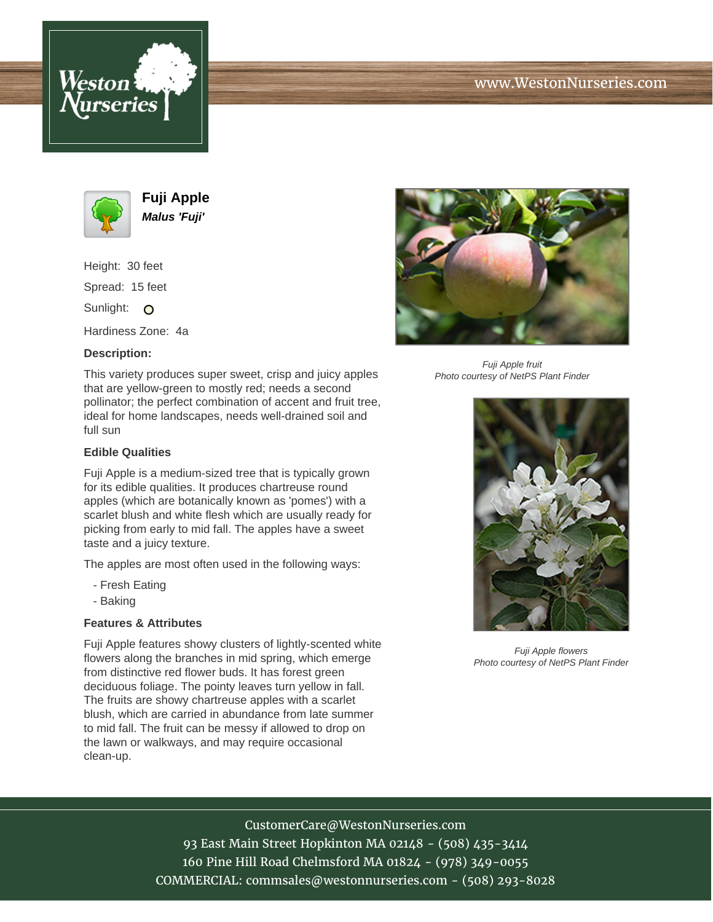



**Fuji Apple Malus 'Fuji'**

Height: 30 feet Spread: 15 feet Sunlight: O

Hardiness Zone: 4a

### **Description:**

This variety produces super sweet, crisp and juicy apples that are yellow-green to mostly red; needs a second pollinator; the perfect combination of accent and fruit tree, ideal for home landscapes, needs well-drained soil and full sun

#### **Edible Qualities**

Fuji Apple is a medium-sized tree that is typically grown for its edible qualities. It produces chartreuse round apples (which are botanically known as 'pomes') with a scarlet blush and white flesh which are usually ready for picking from early to mid fall. The apples have a sweet taste and a juicy texture.

The apples are most often used in the following ways:

- Fresh Eating
- Baking

# **Features & Attributes**

Fuji Apple features showy clusters of lightly-scented white flowers along the branches in mid spring, which emerge from distinctive red flower buds. It has forest green deciduous foliage. The pointy leaves turn yellow in fall. The fruits are showy chartreuse apples with a scarlet blush, which are carried in abundance from late summer to mid fall. The fruit can be messy if allowed to drop on the lawn or walkways, and may require occasional clean-up.



Fuji Apple fruit Photo courtesy of NetPS Plant Finder



Fuji Apple flowers Photo courtesy of NetPS Plant Finder

# CustomerCare@WestonNurseries.com

93 East Main Street Hopkinton MA 02148 - (508) 435-3414 160 Pine Hill Road Chelmsford MA 01824 - (978) 349-0055 COMMERCIAL: commsales@westonnurseries.com - (508) 293-8028